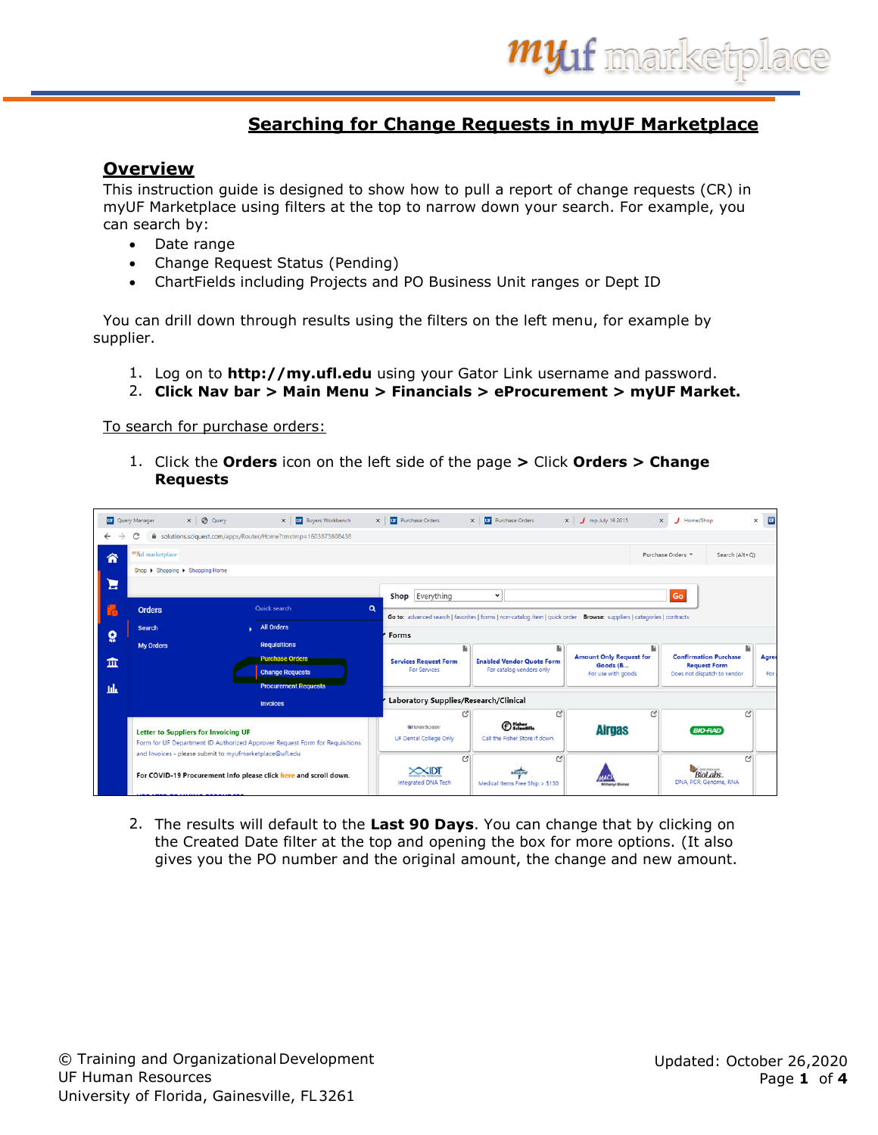## **Searching for Change Requests in myUF Marketplace**

## **Overview**

This instruction guide is designed to show how to pull a report of change requests (CR) in myUF Marketplace using filters at the top to narrow down your search. For example, you can search by:

- Date range
- Change Request Status (Pending)
- ChartFields including Projects and PO Business Unit ranges or Dept ID

 You can drill down through results using the filters on the left menu, for example by supplier.

- 1. Log on to **[http://my.ufl.edu](http://my.ufl.edu/)** using your Gator Link username and password.
- 2. **Click Nav bar > Main Menu > Financials > eProcurement > myUF Market.**

## To search for purchase orders:

1. Click the **Orders** icon on the left side of the page **>** Click **Orders > Change Requests**

|              | <b>UF</b> Query Manager         | $x \mid \bigcircled{0}$ Query                           | X   UF Buyers Workbench                                                     |          | X   UF Purchase Orders                        | $\times$ | <b>UF</b> Purchase Orders                                                                                              |   | $\times$ $\int$ mp July 16 2015            |   | $\times$ | Home/Shop                                              |                | $\times$ | <b>DR</b> |
|--------------|---------------------------------|---------------------------------------------------------|-----------------------------------------------------------------------------|----------|-----------------------------------------------|----------|------------------------------------------------------------------------------------------------------------------------|---|--------------------------------------------|---|----------|--------------------------------------------------------|----------------|----------|-----------|
| $\leftarrow$ |                                 |                                                         | solutions.sciquest.com/apps/Router/Home?tmstmp=1603873808438                |          |                                               |          |                                                                                                                        |   |                                            |   |          |                                                        |                |          |           |
| 合            | my <sub>uf marketplace</sub>    |                                                         |                                                                             |          |                                               |          |                                                                                                                        |   |                                            |   |          | Purchase Orders =                                      | Search (Alt+Q) |          |           |
|              | Shop I Shopping I Shopping Home |                                                         |                                                                             |          |                                               |          |                                                                                                                        |   |                                            |   |          |                                                        |                |          |           |
| Е            |                                 |                                                         |                                                                             |          |                                               |          | $\check{~}$                                                                                                            |   |                                            |   |          |                                                        |                |          |           |
| ľф           | <b>Orders</b>                   |                                                         | Quick search                                                                | $\alpha$ | Shop Everything                               |          |                                                                                                                        |   |                                            |   |          | Go                                                     |                |          |           |
|              |                                 |                                                         |                                                                             |          |                                               |          | Go to: advanced search   favorites   forms   non-catalog item   quick order Browse: suppliers   categories   contracts |   |                                            |   |          |                                                        |                |          |           |
| õ            | <b>Search</b>                   |                                                         | <b>All Orders</b><br>◆                                                      |          | Forms                                         |          |                                                                                                                        |   |                                            |   |          |                                                        |                |          |           |
|              | <b>My Orders</b>                |                                                         | <b>Requisitions</b>                                                         |          |                                               | Ŀ        |                                                                                                                        | Ŀ |                                            | Ŀ |          |                                                        | a.             |          |           |
| 血            |                                 |                                                         | <b>Purchase Orders</b>                                                      |          | <b>Services Request Form</b>                  |          | <b>Enabled Vendor Quote Form</b>                                                                                       |   | <b>Amount Only Request for</b><br>Goods (B |   |          | <b>Confirmation Purchase</b><br><b>Request Form</b>    |                |          | Agree     |
|              |                                 |                                                         | <b>Change Requests</b>                                                      |          | <b>For Services</b>                           |          | For catalog vendors only                                                                                               |   | For use with goods                         |   |          | Does not dispatch to vendor                            |                |          | For:      |
| пh           |                                 |                                                         | <b>Procurement Requests</b>                                                 |          |                                               |          |                                                                                                                        |   |                                            |   |          |                                                        |                |          |           |
|              |                                 |                                                         | <b>Invoices</b>                                                             |          | Laboratory Supplies/Research/Clinical         |          |                                                                                                                        |   |                                            |   |          |                                                        |                |          |           |
|              |                                 | <b>Letter to Suppliers for Invoicing UF</b>             | Form for UF Department ID Authorized Approver Request Form for Requisitions |          | <b>GHINRYSCHEN®</b><br>UF Dental College Only |          | $\bigoplus$ $\frac{F_{\text{inter}}}{S_{\text{elementile}}}\bigoplus$<br>Call the Fisher Store if down.                | ල | <b>Airgas</b>                              | ල |          | <b>BIO RAD</b>                                         | ල              |          |           |
|              |                                 | and Invoices - please submit to myufmarketplace@ufl.edu | For COVID-19 Procurement Info please click here and scroll down.            |          | $\times$ IDT<br>Integrated DNA Tech           | C        | Medical Items Free Ship > \$150                                                                                        | ල |                                            |   |          | <b>EW ENGLAND</b><br>BioLabs.<br>DNA, PCR, Genome, RNA | r?             |          |           |

2. The results will default to the **Last 90 Days**. You can change that by clicking on the Created Date filter at the top and opening the box for more options. (It also gives you the PO number and the original amount, the change and new amount.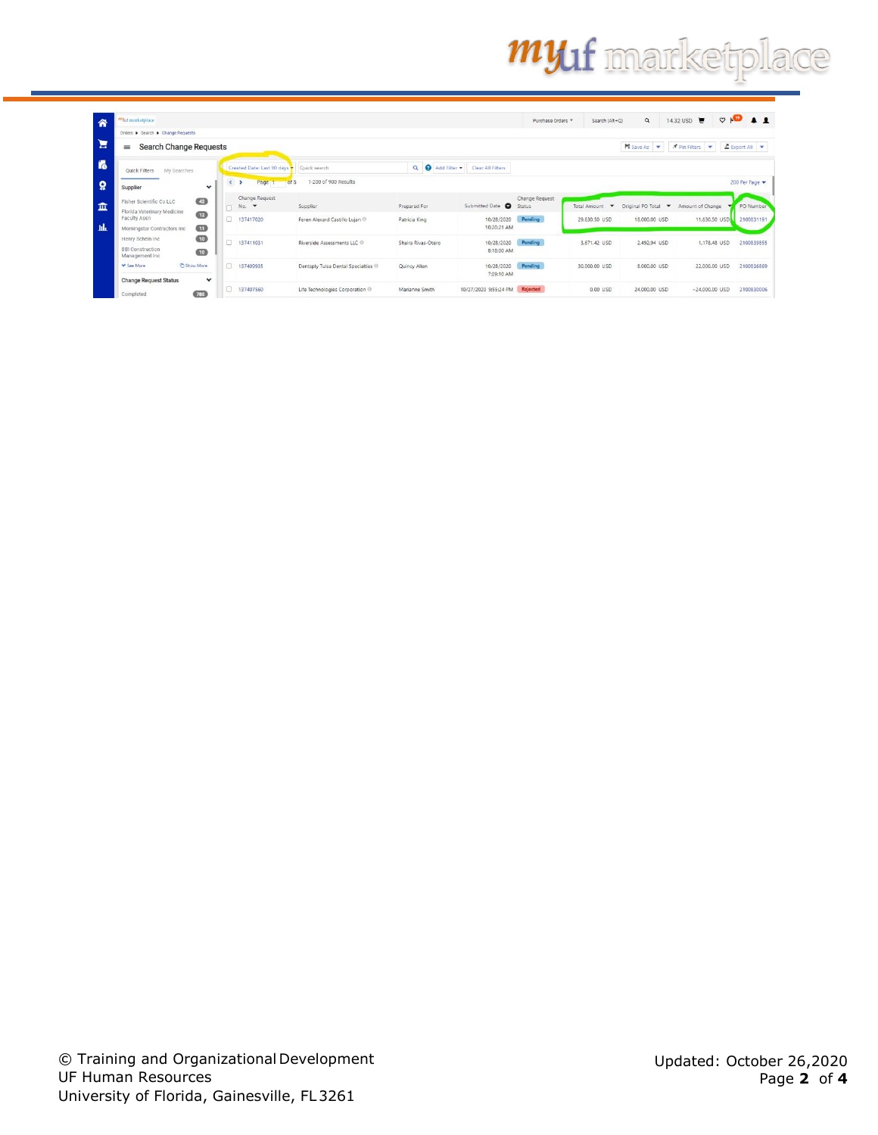## **myuf** marketplace

| "Maf marketplace                                                |                                          |        |                                              |                                          |                             |                          | Purchase Orders *        | Search (Alt+Q)                                  | $\mathsf q$         | ਢ<br>14.32 USD   | $\circ$ $\bullet$ $\bullet$ $\bullet$ |
|-----------------------------------------------------------------|------------------------------------------|--------|----------------------------------------------|------------------------------------------|-----------------------------|--------------------------|--------------------------|-------------------------------------------------|---------------------|------------------|---------------------------------------|
|                                                                 | Orders > Search > Change Requests        |        |                                              |                                          |                             |                          |                          |                                                 |                     |                  |                                       |
| $\equiv$                                                        | <b>Search Change Requests</b>            |        |                                              |                                          |                             |                          |                          |                                                 | <b>N</b> Save As    | Pin Filters      | Export All                            |
| Quick Filters                                                   | My Searches                              |        | Created Date: Last 90 days                   | Quick search                             | $\alpha$<br>Ð<br>Add Filter | Clear AB Filters         |                          |                                                 |                     |                  |                                       |
| Supplier                                                        | $\check{~}$                              | $\leq$ | Page                                         | 1-200 of 900 Results<br>of 5             |                             |                          |                          |                                                 |                     |                  | 200 Per Page                          |
| Fisher Scientific Co LLC                                        | $\left( 2 \right)$                       | $\Box$ | Change Request<br>$No.$ $\blacktriangledown$ | Supplier                                 | Prepared For                | Submitted Date O         | Change Request<br>Status | <b>Total Amount</b><br>$\overline{\phantom{a}}$ | Original PO Total - | Amount of Change | PO Number                             |
| Faculty Assn                                                    | Florida Veterinary Medicine<br><b>GB</b> | 0      | 137417020                                    | Feren Alexard Castillo Luian ®           | Patricia King               | 10/28/2020               | Pending                  | 29.630.50 USD                                   | 18,000.00 USD       | 11,630.50 USD    | 2100831191                            |
|                                                                 | $\omega$<br>Morningstar Contractors Inc. |        |                                              |                                          |                             | 10:20:21 AM              |                          |                                                 |                     |                  |                                       |
| Henry Schein Inc.<br><b>BBI Construction</b><br>Management Inc. | $\bigcirc$<br>$\bullet$                  | 0      | 137411031                                    | Riverside Assessments LLC <sup>(1)</sup> | Shaira Rivas-Otero          | 10/28/2020<br>8:18:00 AM | Pending                  | 3.671.42 USD                                    | 2,492.94 USD        | 1,178,48 USD     | 2100839855                            |
| V See More                                                      | Show More                                |        | 137409935                                    | Dentsply Tulsa Dental Specialties        | Quincy Allen                | 10/28/2020<br>7:09:10 AM | Pending                  | 30,000.00 USD                                   | 8,000.00 USD        | 22,000.00 USD    | 2100836869                            |
| <b>Change Request Status</b><br>Completed                       | $\check{ }$<br>(785)                     | 0.     | 137407560                                    | Life Technologies Corporation            | Marianne Smith              | 10/27/2020 9:55:24 PM    | Rejected                 | $0.00$ $USD$                                    | 24,000.00 USD       | $-24,000.00$ USD | 2100830006                            |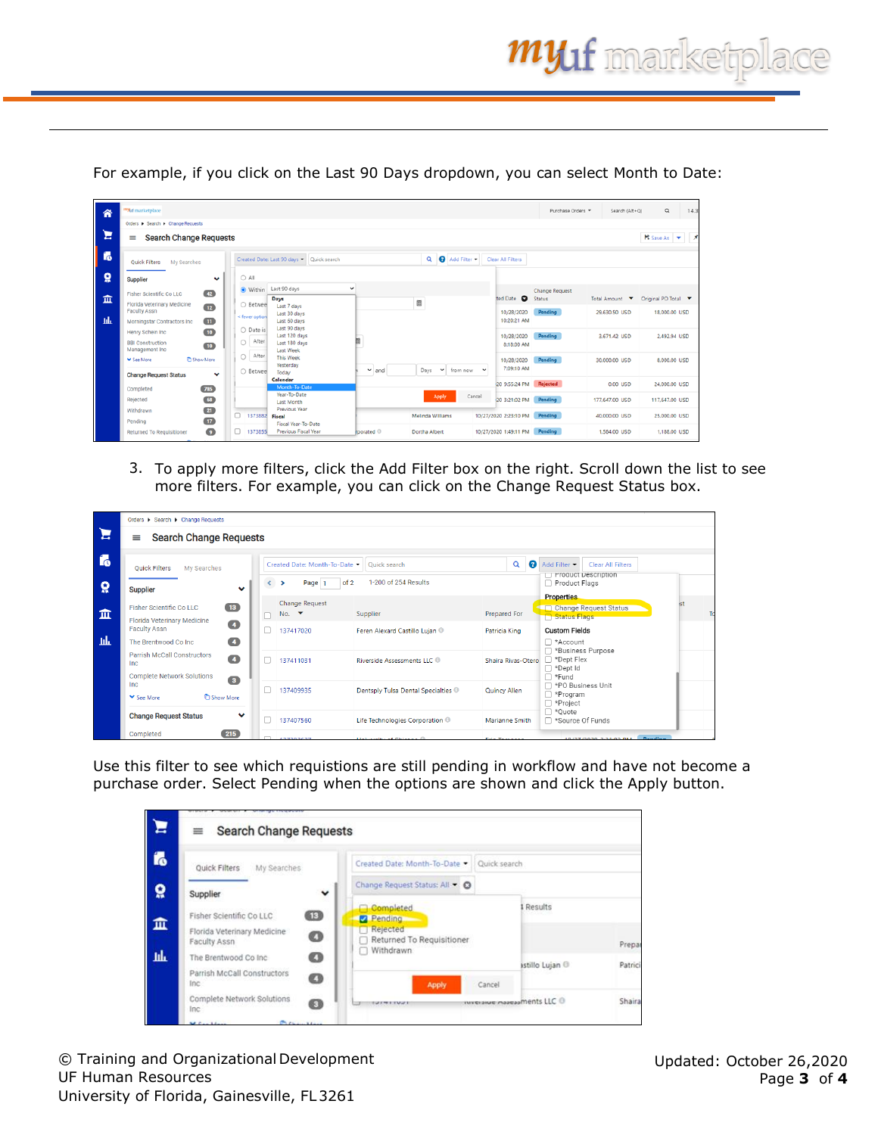Search (Alt+Q)  $\alpha$  $14.$ 容 Έ  $\equiv$  Search Change Requests  $H$  Save As  $\rightarrow$ f<sub>o</sub> Created Date: Last 90 days < Quick search Q Add Filter Clear All Filters Quick Filters My Searches  $\pmb{\Omega}$  $\bigcirc$  All Supplier  $\ddot{\phantom{0}}$ Change Require<br>ted Date **O** Status ● Within Last 90 days Fisher Scientific Co LLC  $\overline{42}$  $\hat{m}$ Days<br>Last 7 days Total Am  $_{\text{ount}}$   $\star$ nal PO Total v E Florida Veterinary Medicine<br>Faculty Assn ○ Betwee  $\overline{12}$ 10/28/2020 Pending 29,630.50 USD 18,000.00 USD .<br>Cfewer o nt. **nastar Contra**  $\blacksquare$ 10:20:21 AM  $\bigcirc$  Date is **Jenry Schein Inc.**  $\overline{10}$ 10/28/2020<br>8:18:00 AM 3,671.42 USD 2,492.94 USD  $\bigcirc$  After **BBI Construction**  $\boxed{10}$ Management Ind  $\bigcirc$  After 10/28/2020 30,000.00 USD 8,000.00 USD  $\begin{array}{|c|c|}\n\hline\n\text{Days} & \text{v} & \text{from now}\n\end{array}$ 7:09:10 AM  $\bigcirc$  Bet  $\blacktriangleright$  and **Change Request Status** 20 9:55:24 PM Rej 0.00 USD 24.000.00 USD  $785$ Year-To-Date<br>Last Month Rejected  $\bullet$ 20 3:21:02 PM Pending 177,647.00 USD 117,647,00 USD Withdrawn  $(21)$ Previous Year  $\Box$ 137388 10/27/2020 2:23:10 PM Pending 40.000.00 USD 25.000.00 USD Frenous rear<br>Fiscal Year-To-Date<br>Previous Fiscal Year Pending  $\overline{17}$  $\bullet$  $137385$ Dortha Albert 10/27/2020 1:49:11 PM Pending 1,584.00 USD 1,188.00 USD **Returned To** ated 0

For example, if you click on the Last 90 Days dropdown, you can select Month to Date:

3. To apply more filters, click the Add Filter box on the right. Scroll down the list to see more filters. For example, you can click on the Change Request Status box.

|          | Orders > Search > Change Requests                                             |          |                                                   |                                   |                    |                                                                                                                 |  |
|----------|-------------------------------------------------------------------------------|----------|---------------------------------------------------|-----------------------------------|--------------------|-----------------------------------------------------------------------------------------------------------------|--|
| Έ        | <b>Search Change Requests</b><br>≡                                            |          |                                                   |                                   |                    |                                                                                                                 |  |
| i.       | My Searches<br><b>Ouick Filters</b>                                           |          | Created Date: Month-To-Date +                     | Quick search                      | Ø<br>Q             | Add Filter •<br><b>Clear All Filters</b><br>Product Description                                                 |  |
| $\Omega$ | $\checkmark$<br><b>Supplier</b>                                               | $\left($ | of 2<br>Page   1<br>$\rightarrow$                 | 1-200 of 254 Results              |                    | Product Flags<br><b>Properties</b>                                                                              |  |
| 血        | $\overline{13}$<br>Fisher Scientific Co LLC                                   |          | <b>Change Request</b><br>No. $\blacktriangledown$ | Supplier                          | Prepared For       | ist<br>Change Request Status<br>Status Flags                                                                    |  |
|          | Florida Veterinary Medicine<br>$\overline{\mathbf{A}}$<br><b>Faculty Assn</b> |          | 137417020                                         | Feren Alexard Castillo Lujan ®    | Patricia King      | <b>Custom Fields</b>                                                                                            |  |
| -lik     | $\sqrt{4}$<br>The Brentwood Co Inc.                                           |          |                                                   |                                   |                    | □ *Account<br>□ *Business Purpose                                                                               |  |
|          | Parrish McCall Constructors<br>$\overline{4}$<br>Inc                          |          | 137411031                                         | Riverside Assessments LLC         | Shaira Rivas-Otero | $\Box$ *Dept Flex<br>$\Box$ *Dept Id                                                                            |  |
|          | <b>Complete Network Solutions</b><br>$\bullet$<br>Inc                         |          |                                                   |                                   |                    | $\Box$ *Fund<br>□ *PO Business Unit                                                                             |  |
|          | <b>C</b> Show More<br>▼ See More                                              |          | 137409935                                         | Dentsply Tulsa Dental Specialties | Quincy Allen       | $\Box$ *Program<br>□ *Project                                                                                   |  |
|          | <b>Change Request Status</b><br>$\checkmark$                                  |          | 137407560                                         | Life Technologies Corporation     | Marianne Smith     | ∩ *Ouote<br>□ *Source Of Funds                                                                                  |  |
|          | 215<br>Completed                                                              |          |                                                   |                                   |                    | the contract of the contract of the contract of the contract of the contract of the contract of the contract of |  |

Use this filter to see which requistions are still pending in workflow and have not become a purchase order. Select Pending when the options are shown and click the Apply button.

| Ξ              | <b>Search Change Requests</b><br>≡                                                                                           |                                                                                            |                         |         |
|----------------|------------------------------------------------------------------------------------------------------------------------------|--------------------------------------------------------------------------------------------|-------------------------|---------|
| f <sub>o</sub> | My Searches<br>Quick Filters                                                                                                 | Created Date: Month-To-Date<br>Quick search                                                |                         |         |
| ៰្ព            | $\check{ }$<br>Supplier                                                                                                      | Change Request Status: All.                                                                |                         |         |
| 血<br>щF        | $\circledcirc$<br>Fisher Scientific Co LLC<br>Florida Veterinary Medicine<br>Ø<br>Faculty Assn<br>Ø<br>The Brentwood Co Inc. | <b>Completed</b><br>Pending<br><b>Rejected</b><br>Returned To Requisitioner<br>□ Withdrawn | Results                 | Prepar  |
|                | Parrish McCall Constructors<br>Ø<br>Inc.                                                                                     | Apply<br>Cancel                                                                            | istillo Lujan O         | Patrici |
|                | Complete Network Solutions<br>◙<br>Inc                                                                                       | <b>IUTHERUS</b>                                                                            | www.awe.maaeaaments LLC | Shaira  |
|                | <b>Prickly May</b><br><b>Marine Marine</b>                                                                                   |                                                                                            |                         |         |

© Training and Organizational Development UF Human Resources University of Florida, Gainesville, FL3261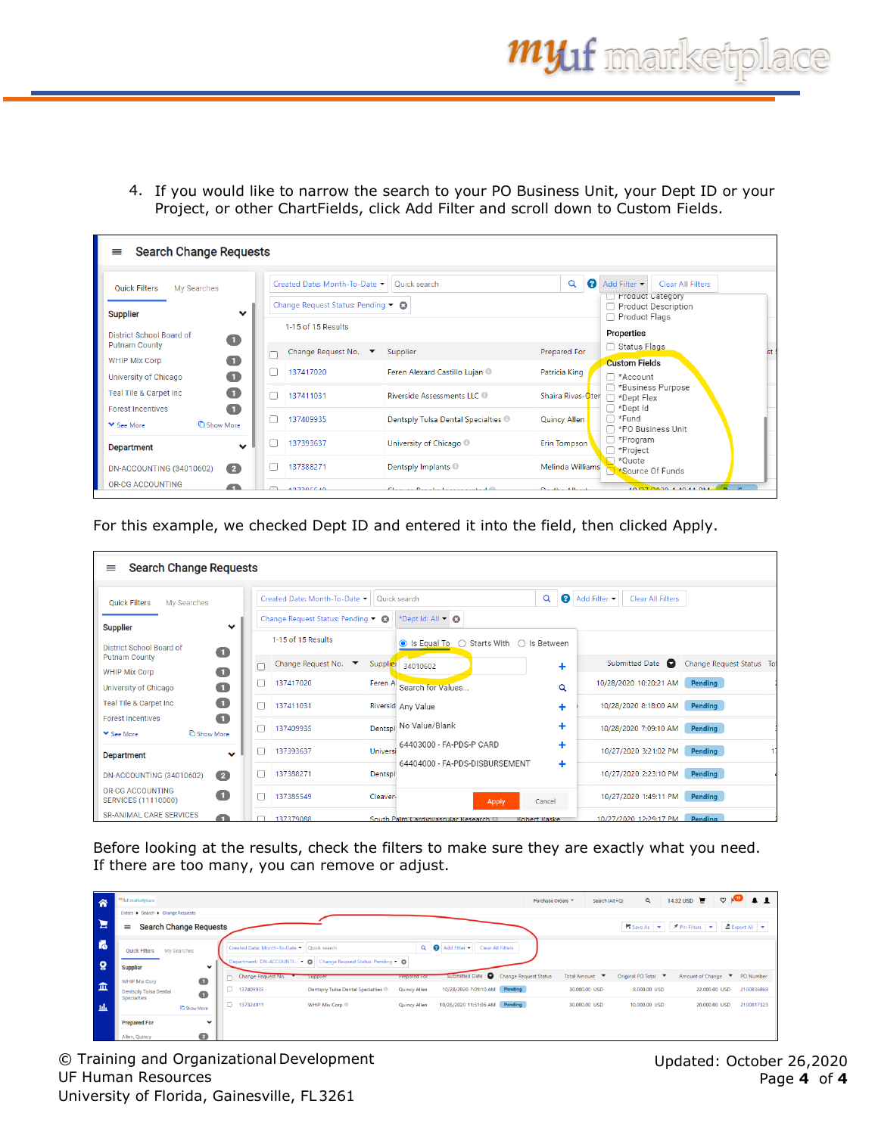4. If you would like to narrow the search to your PO Business Unit, your Dept ID or your Project, or other ChartFields, click Add Filter and scroll down to Custom Fields.

| $\equiv$                                                                                                                                 | <b>Search Change Requests</b>                                                             |                                                                            |                                                |                                                                                                        |  |  |  |  |  |  |  |  |  |  |
|------------------------------------------------------------------------------------------------------------------------------------------|-------------------------------------------------------------------------------------------|----------------------------------------------------------------------------|------------------------------------------------|--------------------------------------------------------------------------------------------------------|--|--|--|--|--|--|--|--|--|--|
| <b>Quick Filters</b><br>My Searches<br>$\checkmark$<br><b>Supplier</b>                                                                   | Created Date: Month-To-Date ▼<br>Change Request Status: Pending • 3<br>1-15 of 15 Results | Quick search                                                               | Q<br>Q                                         | Add Filter •<br>Clear All Filters<br>□ Product Category<br><b>Product Description</b><br>Product Flags |  |  |  |  |  |  |  |  |  |  |
| District School Board of<br>$\bullet$<br><b>Putnam County</b><br>$\bullet$<br><b>WHIP Mix Corp</b><br>$\bullet$<br>University of Chicago | Change Request No.<br>Π<br>137417020                                                      | Supplier<br>Feren Alexard Castillo Lujan ®                                 | Prepared For<br>Patricia King                  | Properties<br>□ Status Flags<br>st<br><b>Custom Fields</b><br>□ *Account                               |  |  |  |  |  |  |  |  |  |  |
| $\bullet$<br>Teal Tile & Carpet Inc<br>$\blacksquare$<br><b>Forest Incentives</b>                                                        | 137411031<br>П                                                                            | Riverside Assessments LLC                                                  | Shaira Rivas-Oter                              | □ *Business Purpose<br>*Dept Flex<br>□ *Dept Id                                                        |  |  |  |  |  |  |  |  |  |  |
| <b>C</b> Show More<br><b>▼</b> See More                                                                                                  | 137409935<br>$\Box$                                                                       | Dentsply Tulsa Dental Specialties ®                                        | <b>Quincy Allen</b>                            | ∩ *Fund<br>□ *PO Business Unit                                                                         |  |  |  |  |  |  |  |  |  |  |
| $\bullet$<br><b>Department</b>                                                                                                           | 137393637                                                                                 | University of Chicago                                                      | Erin Tompson                                   | $\Box$ *Program<br>□ *Project<br>$\Box$ *Ouote                                                         |  |  |  |  |  |  |  |  |  |  |
| DN-ACCOUNTING (34010602)<br>$\left( 2\right)$<br><b>OR-CG ACCOUNTING</b>                                                                 | 137388271<br>127205540                                                                    | Dentsply Implants <sup>®</sup><br>Chairman Davis Line Language and a staff | Melinda Williams<br><b>Considered Allisons</b> | Source Of Funds<br>1070710000 1-10-11 DML                                                              |  |  |  |  |  |  |  |  |  |  |

For this example, we checked Dept ID and entered it into the field, then clicked Apply.

| <b>Search Change Requests</b><br>≡                               |    |                                                                     |          |                                                           |                      |              |                          |                           |  |
|------------------------------------------------------------------|----|---------------------------------------------------------------------|----------|-----------------------------------------------------------|----------------------|--------------|--------------------------|---------------------------|--|
| <b>Quick Filters</b><br>My Searches                              |    | Created Date: Month-To-Date Y<br>Change Request Status: Pending . 3 |          | Quick search<br>*Dept Id: All • 8                         | Ø<br>Q               | Add Filter • | <b>Clear All Filters</b> |                           |  |
| $\checkmark$<br><b>Supplier</b>                                  |    |                                                                     |          |                                                           |                      |              |                          |                           |  |
| District School Board of<br>$\bullet$                            |    | 1-15 of 15 Results                                                  |          | ○ Starts With<br>● Is Equal To                            | $\bigcap$ Is Between |              |                          |                           |  |
| <b>Putnam County</b><br>$\mathbf \Omega$<br><b>WHIP Mix Corp</b> |    | Change Request No.<br>▼                                             | Supplier | 34010602                                                  | ٠                    |              | Submitted Date <b>Q</b>  | Change Request Status Tot |  |
| $\blacksquare$<br>University of Chicago                          | υ  | 137417020                                                           | Feren A  | Search for Values                                         | Q                    |              | 10/28/2020 10:20:21 AM   | Pending                   |  |
| O<br>Teal Tile & Carpet Inc                                      | n  | 137411031                                                           |          | Riversid Any Value                                        | ٠                    |              | 10/28/2020 8:18:00 AM    | Pending                   |  |
| $\blacksquare$<br><b>Forest Incentives</b>                       | п  | 137409935                                                           |          | Dentspl No Value/Blank                                    | ٠                    |              | 10/28/2020 7:09:10 AM    | Pending                   |  |
| <b>C</b> Show More<br><b>▼</b> See More                          |    |                                                                     |          | 64403000 - FA-PDS-P CARD                                  | ٠                    |              |                          |                           |  |
| $\checkmark$<br><b>Department</b>                                |    | 137393637                                                           | Universi | 64404000 - FA-PDS-DISBURSEMENT                            |                      |              | 10/27/2020 3:21:02 PM    | Pending                   |  |
| $\overline{\mathbf{2}}$<br>DN-ACCOUNTING (34010602)              | 11 | 137388271                                                           | Dentspl  |                                                           | ٠                    |              | 10/27/2020 2:23:10 PM    | Pending                   |  |
| OR-CG ACCOUNTING<br>O<br><b>SERVICES (11110000)</b>              | ┐  | 137385549                                                           | Cleaver- | <b>Apply</b>                                              | Cancel               |              | 10/27/2020 1:49:11 PM    | Pending                   |  |
| <b>SR-ANIMAL CARE SERVICES</b><br>n                              |    | 137379088                                                           |          | South Palm Cardiovascular Research<br><b>Robert Raske</b> |                      |              | 10/27/2020 12:29:17 PM   | Pending                   |  |

Before looking at the results, check the filters to make sure they are exactly what you need. If there are too many, you can remove or adjust.

| 合            | "Muf marketplace                                  |                                            |                                                                  |                                                                                                 |                                          |                              | Purchase Orders = | Search (Alt+Q) | $\alpha$            | 14.32 USD $\Box$                    | $\circ \bullet \bullet \bullet \bullet$ |
|--------------|---------------------------------------------------|--------------------------------------------|------------------------------------------------------------------|-------------------------------------------------------------------------------------------------|------------------------------------------|------------------------------|-------------------|----------------|---------------------|-------------------------------------|-----------------------------------------|
|              | Orders > Search > Change Requests                 |                                            |                                                                  |                                                                                                 |                                          |                              |                   |                |                     |                                     |                                         |
| $\mathbf{E}$ | <b>Search Change Requests</b><br>$\equiv$         |                                            |                                                                  | <b>H</b> Save As $\rightarrow$ <b>Pin Filters</b> $\rightarrow$<br>$E$ Export All $\rightarrow$ |                                          |                              |                   |                |                     |                                     |                                         |
| <b>To</b>    | <b>Ouick Filters</b><br>My Searches               | Created Date: Month-To-Date - Quick search |                                                                  |                                                                                                 | Q Add Filter<br><b>Clear All Filters</b> |                              |                   |                |                     |                                     |                                         |
| ្ល           | $\checkmark$<br>Supplier                          |                                            | Department: DN-ACCOUNTI • ©   Change Request Status: Pending • © |                                                                                                 |                                          |                              |                   |                |                     |                                     |                                         |
| 血            | $\bullet$<br><b>WHIP Mix Corp</b>                 | Change Request No.                         | Supplier                                                         | <b>Prepared For</b>                                                                             | Submitted Date                           | <b>Change Request Status</b> | Total Amount ▼    |                | Original PO Total ▼ | Amount of Change <b>F</b> PO Number |                                         |
|              | Dentsply Tulsa Dental<br>$\bullet$<br>Specialties | □ 137409935                                | Dentsply Tulsa Dental Specialties ®                              | <b>Quincy Allen</b>                                                                             | 10/28/2020 7:09:10 AM Pending            |                              | 30,000.00 USD     |                | 8.000.00 USD        | 22.000.00 USD                       | 2100836869                              |
| -lik         | Show More                                         | 137324911                                  | WHIP Mix Corp ®                                                  | Quincy Allen                                                                                    | 10/26/2020 11:51:06 AM Pending           |                              | 30,000.00 USD     |                | 10,000.00 USD       | 20,000.00 USD                       | 2100817323                              |
|              | $\checkmark$<br><b>Prepared For</b>               |                                            |                                                                  |                                                                                                 |                                          |                              |                   |                |                     |                                     |                                         |
|              | $\overline{2}$<br>Allen, Quincy                   |                                            |                                                                  |                                                                                                 |                                          |                              |                   |                |                     |                                     |                                         |

© Training and Organizational Development UF Human Resources University of Florida, Gainesville, FL3261